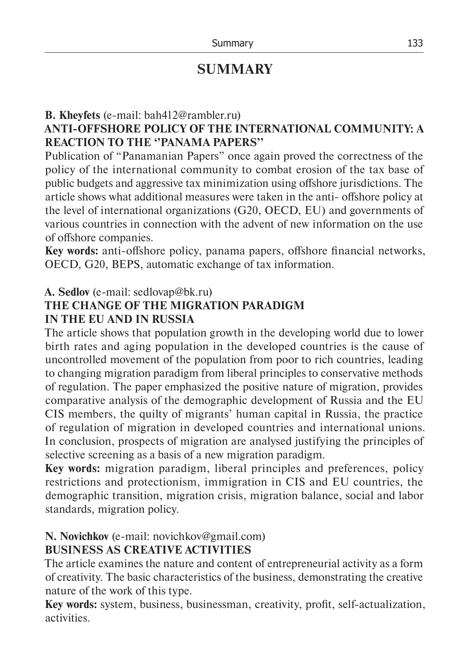# **SUMMARY**

## **B. Kheyfets** (e-mail: bah412@rambler.ru)

## **ANTI-OFFSHORE POLICY OF THE INTERNATIONAL COMMUNITY: A REACTION TO THE ''PANAMA PAPERS''**

Publication of "Panamanian Papers" once again proved the correctness of the policy of the international community to combat erosion of the tax base of public budgets and aggressive tax minimization using offshore jurisdictions. The article shows what additional measures were taken in the anti- offshore policy at the level of international organizations (G20, OECD, EU) and governments of various countries in connection with the advent of new information on the use of offshore companies.

**Key words:** anti-offshore policy, panama papers, offshore financial networks, OECD, G20, BEPS, automatic exchange of tax information.

### **А. Sedlov** (e-mail: sedlovap@bk.ru)

#### **THE CHANGE OF THE MIGRATION PARADIGM IN THE EU AND IN RUSSIA**

The article shows that population growth in the developing world due to lower birth rates and aging population in the developed countries is the cause of uncontrolled movement of the population from poor to rich countries, leading to changing migration paradigm from liberal principles to conservative methods of regulation. The paper emphasized the positive nature of migration, provides comparative analysis of the demographic development of Russia and the EU CIS members, the quilty of migrants' human capital in Russia, the practice of regulation of migration in developed countries and international unions. In conclusion, prospects of migration are analysed justifying the principles of selective screening as a basis of a new migration paradigm.

**Key words:** migration paradigm, liberal principles and preferences, policy restrictions and protectionism, immigration in CIS and EU countries, the demographic transition, migration crisis, migration balance, social and labor standards, migration policy.

### **N. Novichkov** (e-mail: novichkov@gmail.com) **BUSINESS AS CREATIVE ACTIVITIES**

The article examines the nature and content of entrepreneurial activity as a form of creativity. The basic characteristics of the business, demonstrating the creative nature of the work of this type.

**Key words:** system, business, businessman, creativity, profit, self-actualization, activities.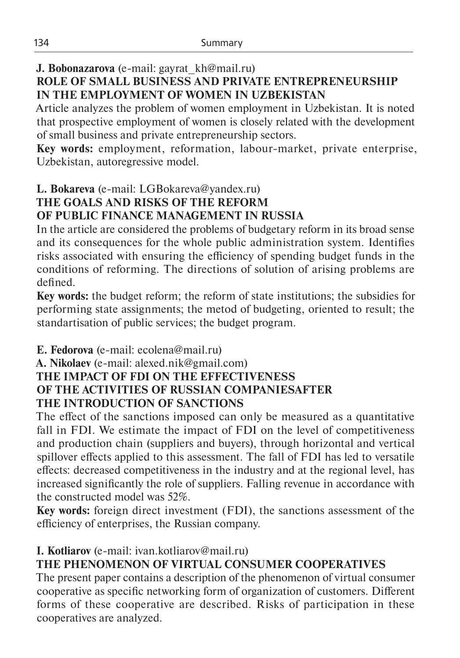## **J. Bobonazarova** (е-mail: gayrat\_kh@mail.ru)

## **ROLE OF SMALL BUSINESS AND PRIVATE ENTREPRENEURSHIP IN THE EMPLOYMENT OF WOMEN IN UZBEKISTAN**

Article analyzes the problem of women employment in Uzbekistan. It is noted that prospective employment of women is closely related with the development of small business and private entrepreneurship sectors.

**Key words:** employment, reformation, labour-market, private enterprise, Uzbekistan, autoregressive model.

#### **L. Bokareva** (e-mail: LGBokareva@yandex.ru) **THE GOALS AND RISKS OF THE REFORM OF PUBLIC FINANCE MANAGEMENT IN RUSSIA**

In the article are considered the problems of budgetary reform in its broad sense and its consequences for the whole public administration system. Identifies risks associated with ensuring the efficiency of spending budget funds in the conditions of reforming. The directions of solution of arising problems are defined.

**Key words:** the budget reform; the reform of state institutions; the subsidies for performing state assignments; the metod of budgeting, oriented to result; the standartisation of public services; the budget program.

**E. Fedorova** (e-mail: ecolena@mail.ru)

#### **A. Nikolaev** (е-mail: alexed.nik@gmail.com) **THE IMPACT OF FDI ON THE EFFECTIVENESS OF THE ACTIVITIES OF RUSSIAN COMPANIESAFTER THE INTRODUCTION OF SANCTIONS**

The effect of the sanctions imposed can only be measured as a quantitative fall in FDI. We estimate the impact of FDI on the level of competitiveness and production chain (suppliers and buyers), through horizontal and vertical spillover effects applied to this assessment. The fall of FDI has led to versatile effects: decreased competitiveness in the industry and at the regional level, has increased significantly the role of suppliers. Falling revenue in accordance with the constructed model was 52%.

**Key words:** foreign direct investment (FDI), the sanctions assessment of the efficiency of enterprises, the Russian company.

## **I. Kotliarov** (e-mail: ivan.kotliarov@mail.ru)

# **THE PHENOMENON OF VIRTUAL CONSUMER COOPERATIVES**

The present paper contains a description of the phenomenon of virtual consumer cooperative as specific networking form of organization of customers. Different forms of these cooperative are described. Risks of participation in these cooperatives are analyzed.